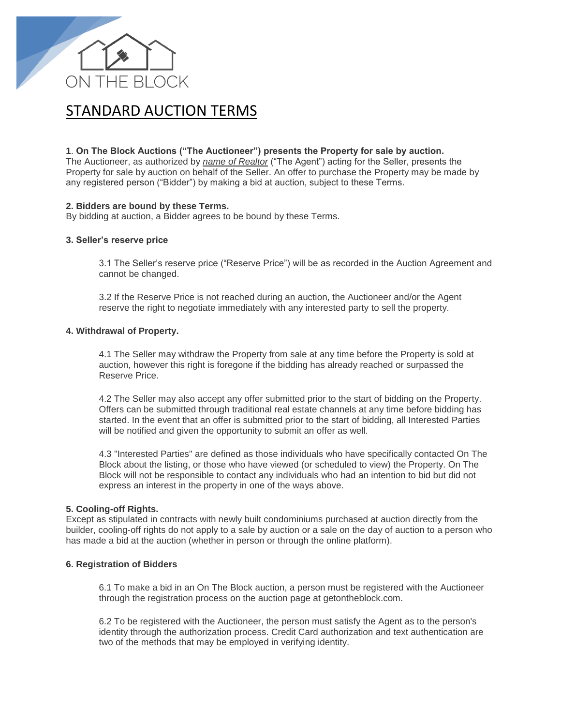

# STANDARD AUCTION TERMS

## **1**. **On The Block Auctions ("The Auctioneer") presents the Property for sale by auction.**

The Auctioneer, as authorized by *name of Realtor* ("The Agent") acting for the Seller, presents the Property for sale by auction on behalf of the Seller. An offer to purchase the Property may be made by any registered person ("Bidder") by making a bid at auction, subject to these Terms.

## **2. Bidders are bound by these Terms.**

By bidding at auction, a Bidder agrees to be bound by these Terms.

#### **3. Seller's reserve price**

3.1 The Seller's reserve price ("Reserve Price") will be as recorded in the Auction Agreement and cannot be changed.

3.2 If the Reserve Price is not reached during an auction, the Auctioneer and/or the Agent reserve the right to negotiate immediately with any interested party to sell the property.

#### **4. Withdrawal of Property.**

4.1 The Seller may withdraw the Property from sale at any time before the Property is sold at auction, however this right is foregone if the bidding has already reached or surpassed the Reserve Price.

4.2 The Seller may also accept any offer submitted prior to the start of bidding on the Property. Offers can be submitted through traditional real estate channels at any time before bidding has started. In the event that an offer is submitted prior to the start of bidding, all Interested Parties will be notified and given the opportunity to submit an offer as well.

4.3 "Interested Parties" are defined as those individuals who have specifically contacted On The Block about the listing, or those who have viewed (or scheduled to view) the Property. On The Block will not be responsible to contact any individuals who had an intention to bid but did not express an interest in the property in one of the ways above.

### **5. Cooling-off Rights.**

Except as stipulated in contracts with newly built condominiums purchased at auction directly from the builder, cooling-off rights do not apply to a sale by auction or a sale on the day of auction to a person who has made a bid at the auction (whether in person or through the online platform).

#### **6. Registration of Bidders**

6.1 To make a bid in an On The Block auction, a person must be registered with the Auctioneer through the registration process on the auction page at getontheblock.com.

6.2 To be registered with the Auctioneer, the person must satisfy the Agent as to the person's identity through the authorization process. Credit Card authorization and text authentication are two of the methods that may be employed in verifying identity.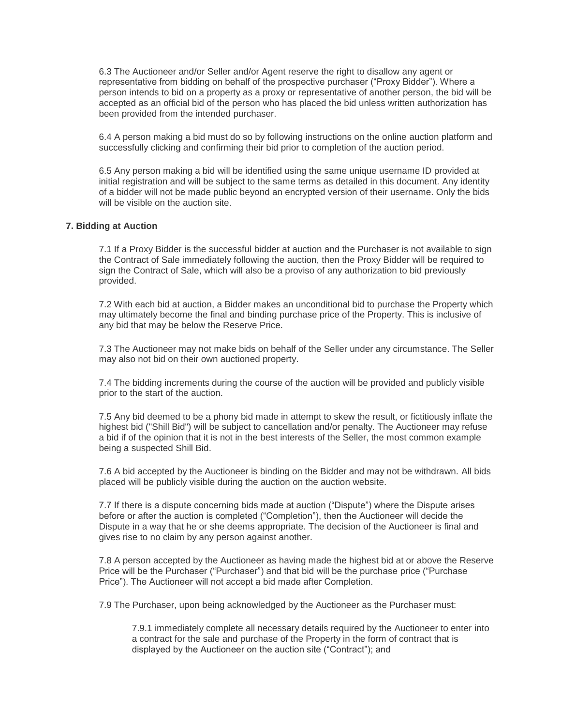6.3 The Auctioneer and/or Seller and/or Agent reserve the right to disallow any agent or representative from bidding on behalf of the prospective purchaser ("Proxy Bidder"). Where a person intends to bid on a property as a proxy or representative of another person, the bid will be accepted as an official bid of the person who has placed the bid unless written authorization has been provided from the intended purchaser.

6.4 A person making a bid must do so by following instructions on the online auction platform and successfully clicking and confirming their bid prior to completion of the auction period.

6.5 Any person making a bid will be identified using the same unique username ID provided at initial registration and will be subject to the same terms as detailed in this document. Any identity of a bidder will not be made public beyond an encrypted version of their username. Only the bids will be visible on the auction site.

#### **7. Bidding at Auction**

7.1 If a Proxy Bidder is the successful bidder at auction and the Purchaser is not available to sign the Contract of Sale immediately following the auction, then the Proxy Bidder will be required to sign the Contract of Sale, which will also be a proviso of any authorization to bid previously provided.

7.2 With each bid at auction, a Bidder makes an unconditional bid to purchase the Property which may ultimately become the final and binding purchase price of the Property. This is inclusive of any bid that may be below the Reserve Price.

7.3 The Auctioneer may not make bids on behalf of the Seller under any circumstance. The Seller may also not bid on their own auctioned property.

7.4 The bidding increments during the course of the auction will be provided and publicly visible prior to the start of the auction.

7.5 Any bid deemed to be a phony bid made in attempt to skew the result, or fictitiously inflate the highest bid ("Shill Bid") will be subject to cancellation and/or penalty. The Auctioneer may refuse a bid if of the opinion that it is not in the best interests of the Seller, the most common example being a suspected Shill Bid.

7.6 A bid accepted by the Auctioneer is binding on the Bidder and may not be withdrawn. All bids placed will be publicly visible during the auction on the auction website.

7.7 If there is a dispute concerning bids made at auction ("Dispute") where the Dispute arises before or after the auction is completed ("Completion"), then the Auctioneer will decide the Dispute in a way that he or she deems appropriate. The decision of the Auctioneer is final and gives rise to no claim by any person against another.

7.8 A person accepted by the Auctioneer as having made the highest bid at or above the Reserve Price will be the Purchaser ("Purchaser") and that bid will be the purchase price ("Purchase Price"). The Auctioneer will not accept a bid made after Completion.

7.9 The Purchaser, upon being acknowledged by the Auctioneer as the Purchaser must:

7.9.1 immediately complete all necessary details required by the Auctioneer to enter into a contract for the sale and purchase of the Property in the form of contract that is displayed by the Auctioneer on the auction site ("Contract"); and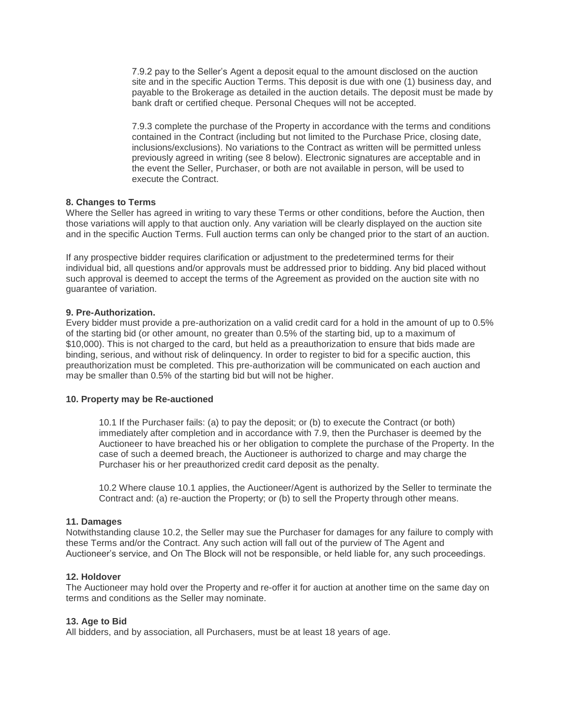7.9.2 pay to the Seller's Agent a deposit equal to the amount disclosed on the auction site and in the specific Auction Terms. This deposit is due with one (1) business day, and payable to the Brokerage as detailed in the auction details. The deposit must be made by bank draft or certified cheque. Personal Cheques will not be accepted.

7.9.3 complete the purchase of the Property in accordance with the terms and conditions contained in the Contract (including but not limited to the Purchase Price, closing date, inclusions/exclusions). No variations to the Contract as written will be permitted unless previously agreed in writing (see 8 below). Electronic signatures are acceptable and in the event the Seller, Purchaser, or both are not available in person, will be used to execute the Contract.

## **8. Changes to Terms**

Where the Seller has agreed in writing to vary these Terms or other conditions, before the Auction, then those variations will apply to that auction only. Any variation will be clearly displayed on the auction site and in the specific Auction Terms. Full auction terms can only be changed prior to the start of an auction.

If any prospective bidder requires clarification or adjustment to the predetermined terms for their individual bid, all questions and/or approvals must be addressed prior to bidding. Any bid placed without such approval is deemed to accept the terms of the Agreement as provided on the auction site with no guarantee of variation.

## **9. Pre-Authorization.**

Every bidder must provide a pre-authorization on a valid credit card for a hold in the amount of up to 0.5% of the starting bid (or other amount, no greater than 0.5% of the starting bid, up to a maximum of \$10,000). This is not charged to the card, but held as a preauthorization to ensure that bids made are binding, serious, and without risk of delinquency. In order to register to bid for a specific auction, this preauthorization must be completed. This pre-authorization will be communicated on each auction and may be smaller than 0.5% of the starting bid but will not be higher.

#### **10. Property may be Re-auctioned**

10.1 If the Purchaser fails: (a) to pay the deposit; or (b) to execute the Contract (or both) immediately after completion and in accordance with 7.9, then the Purchaser is deemed by the Auctioneer to have breached his or her obligation to complete the purchase of the Property. In the case of such a deemed breach, the Auctioneer is authorized to charge and may charge the Purchaser his or her preauthorized credit card deposit as the penalty.

10.2 Where clause 10.1 applies, the Auctioneer/Agent is authorized by the Seller to terminate the Contract and: (a) re-auction the Property; or (b) to sell the Property through other means.

#### **11. Damages**

Notwithstanding clause 10.2, the Seller may sue the Purchaser for damages for any failure to comply with these Terms and/or the Contract. Any such action will fall out of the purview of The Agent and Auctioneer's service, and On The Block will not be responsible, or held liable for, any such proceedings.

#### **12. Holdover**

The Auctioneer may hold over the Property and re-offer it for auction at another time on the same day on terms and conditions as the Seller may nominate.

#### **13. Age to Bid**

All bidders, and by association, all Purchasers, must be at least 18 years of age.